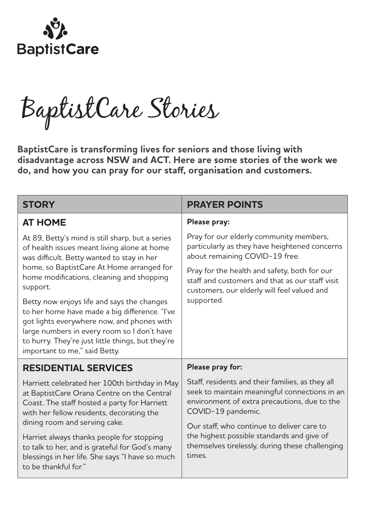

BaptistCare Stories

**BaptistCare is transforming lives for seniors and those living with disadvantage across NSW and ACT. Here are some stories of the work we do, and how you can pray for our staff, organisation and customers.**

| <b>STORY</b>                                                                                                                                                                                                                                                                   | <b>PRAYER POINTS</b>                                                                                                                                                                                                                                                                                                             |
|--------------------------------------------------------------------------------------------------------------------------------------------------------------------------------------------------------------------------------------------------------------------------------|----------------------------------------------------------------------------------------------------------------------------------------------------------------------------------------------------------------------------------------------------------------------------------------------------------------------------------|
| <b>AT HOME</b>                                                                                                                                                                                                                                                                 | Please pray:                                                                                                                                                                                                                                                                                                                     |
| At 89, Betty's mind is still sharp, but a series<br>of health issues meant living alone at home<br>was difficult. Betty wanted to stay in her<br>home, so BaptistCare At Home arranged for<br>home modifications, cleaning and shopping<br>support.                            | Pray for our elderly community members,<br>particularly as they have heightened concerns<br>about remaining COVID-19 free.                                                                                                                                                                                                       |
|                                                                                                                                                                                                                                                                                | Pray for the health and safety, both for our<br>staff and customers and that as our staff visit<br>customers, our elderly will feel valued and<br>supported.                                                                                                                                                                     |
| Betty now enjoys life and says the changes<br>to her home have made a big difference. "I've<br>got lights everywhere now, and phones with<br>large numbers in every room so I don't have<br>to hurry. They're just little things, but they're<br>important to me," said Betty. |                                                                                                                                                                                                                                                                                                                                  |
| <b>RESIDENTIAL SERVICES</b>                                                                                                                                                                                                                                                    | Please pray for:                                                                                                                                                                                                                                                                                                                 |
| Harriett celebrated her 100th birthday in May<br>at BaptistCare Orana Centre on the Central<br>Coast. The staff hosted a party for Harriett<br>with her fellow residents, decorating the<br>dining room and serving cake.                                                      | Staff, residents and their families, as they all<br>seek to maintain meaningful connections in an<br>environment of extra precautions, due to the<br>COVID-19 pandemic.<br>Our staff, who continue to deliver care to<br>the highest possible standards and give of<br>themselves tirelessly, during these challenging<br>times. |
| Harriet always thanks people for stopping<br>to talk to her, and is grateful for God's many<br>blessings in her life. She says "I have so much<br>to be thankful for."                                                                                                         |                                                                                                                                                                                                                                                                                                                                  |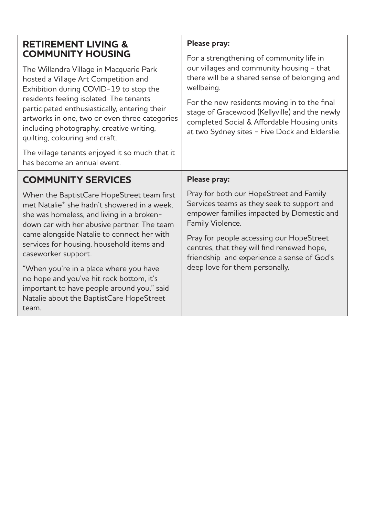| <b>RETIREMENT LIVING &amp;</b><br><b>COMMUNITY HOUSING</b>                                                                                                                                                                                                                                                                                           | Please pray:<br>For a strengthening of community life in                                                                                                                                       |
|------------------------------------------------------------------------------------------------------------------------------------------------------------------------------------------------------------------------------------------------------------------------------------------------------------------------------------------------------|------------------------------------------------------------------------------------------------------------------------------------------------------------------------------------------------|
| The Willandra Village in Macquarie Park<br>hosted a Village Art Competition and<br>Exhibition during COVID-19 to stop the<br>residents feeling isolated. The tenants<br>participated enthusiastically, entering their<br>artworks in one, two or even three categories<br>including photography, creative writing,<br>quilting, colouring and craft. | our villages and community housing - that<br>there will be a shared sense of belonging and<br>wellbeing.                                                                                       |
|                                                                                                                                                                                                                                                                                                                                                      | For the new residents moving in to the final<br>stage of Gracewood (Kellyville) and the newly<br>completed Social & Affordable Housing units<br>at two Sydney sites - Five Dock and Elderslie. |
| The village tenants enjoyed it so much that it<br>has become an annual event.                                                                                                                                                                                                                                                                        |                                                                                                                                                                                                |
| <b>COMMUNITY SERVICES</b>                                                                                                                                                                                                                                                                                                                            | Please pray:                                                                                                                                                                                   |
| When the BaptistCare HopeStreet team first<br>met Natalie* she hadn't showered in a week.<br>she was homeless, and living in a broken-<br>down car with her abusive partner. The team<br>came alongside Natalie to connect her with<br>services for housing, household items and<br>caseworker support.                                              | Pray for both our HopeStreet and Family<br>Services teams as they seek to support and<br>empower families impacted by Domestic and<br>Family Violence.                                         |
|                                                                                                                                                                                                                                                                                                                                                      | Pray for people accessing our HopeStreet<br>centres, that they will find renewed hope,<br>friendship and experience a sense of God's                                                           |
| "When you're in a place where you have<br>no hope and you've hit rock bottom, it's<br>important to have people around you," said<br>Natalie about the BaptistCare HopeStreet<br>team.                                                                                                                                                                | deep love for them personally.                                                                                                                                                                 |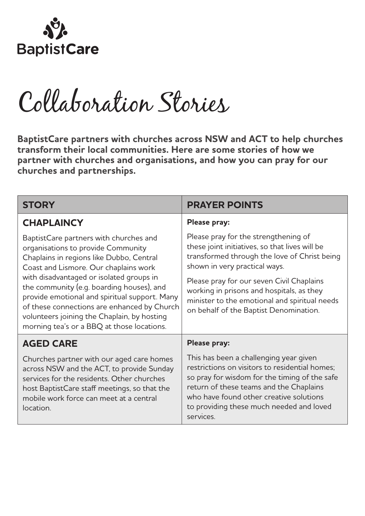

Collaboration Stories

**BaptistCare partners with churches across NSW and ACT to help churches transform their local communities. Here are some stories of how we partner with churches and organisations, and how you can pray for our churches and partnerships.** 

| <b>STORY</b>                                                                                                                                                                                                                                                                                                                                                                                                                                            | <b>PRAYER POINTS</b>                                                                                                                                                                                                                                                                                                                                         |
|---------------------------------------------------------------------------------------------------------------------------------------------------------------------------------------------------------------------------------------------------------------------------------------------------------------------------------------------------------------------------------------------------------------------------------------------------------|--------------------------------------------------------------------------------------------------------------------------------------------------------------------------------------------------------------------------------------------------------------------------------------------------------------------------------------------------------------|
| <b>CHAPLAINCY</b>                                                                                                                                                                                                                                                                                                                                                                                                                                       | Please pray:                                                                                                                                                                                                                                                                                                                                                 |
| BaptistCare partners with churches and<br>organisations to provide Community<br>Chaplains in regions like Dubbo, Central<br>Coast and Lismore. Our chaplains work<br>with disadvantaged or isolated groups in<br>the community (e.g. boarding houses), and<br>provide emotional and spiritual support. Many<br>of these connections are enhanced by Church<br>volunteers joining the Chaplain, by hosting<br>morning tea's or a BBQ at those locations. | Please pray for the strengthening of<br>these joint initiatives, so that lives will be<br>transformed through the love of Christ being<br>shown in very practical ways.<br>Please pray for our seven Civil Chaplains<br>working in prisons and hospitals, as they<br>minister to the emotional and spiritual needs<br>on behalf of the Baptist Denomination. |
| <b>AGED CARE</b>                                                                                                                                                                                                                                                                                                                                                                                                                                        | Please pray:                                                                                                                                                                                                                                                                                                                                                 |
| Churches partner with our aged care homes<br>across NSW and the ACT, to provide Sunday<br>services for the residents. Other churches<br>host BaptistCare staff meetings, so that the<br>mobile work force can meet at a central<br>location.                                                                                                                                                                                                            | This has been a challenging year given<br>restrictions on visitors to residential homes;<br>so pray for wisdom for the timing of the safe<br>return of these teams and the Chaplains<br>who have found other creative solutions<br>to providing these much needed and loved<br>services.                                                                     |